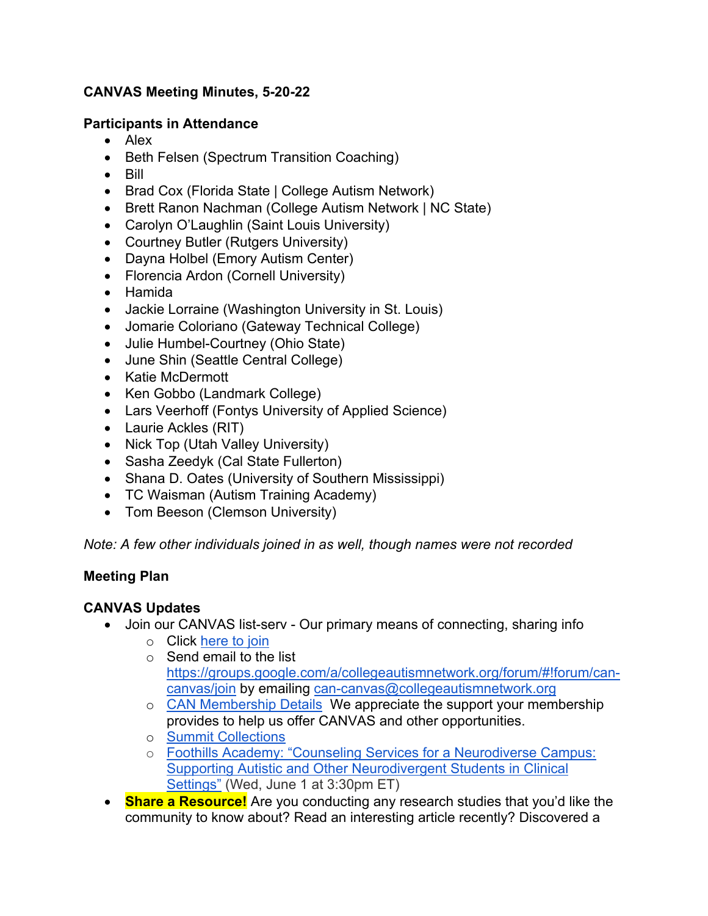## **CANVAS Meeting Minutes, 5-20-22**

#### **Participants in Attendance**

- Alex
- Beth Felsen (Spectrum Transition Coaching)
- Bill
- Brad Cox (Florida State | College Autism Network)
- Brett Ranon Nachman (College Autism Network | NC State)
- Carolyn O'Laughlin (Saint Louis University)
- Courtney Butler (Rutgers University)
- Dayna Holbel (Emory Autism Center)
- Florencia Ardon (Cornell University)
- Hamida
- Jackie Lorraine (Washington University in St. Louis)
- Jomarie Coloriano (Gateway Technical College)
- Julie Humbel-Courtney (Ohio State)
- June Shin (Seattle Central College)
- Katie McDermott
- Ken Gobbo (Landmark College)
- Lars Veerhoff (Fontys University of Applied Science)
- Laurie Ackles (RIT)
- Nick Top (Utah Valley University)
- Sasha Zeedyk (Cal State Fullerton)
- Shana D. Oates (University of Southern Mississippi)
- TC Waisman (Autism Training Academy)
- Tom Beeson (Clemson University)

*Note: A few other individuals joined in as well, though names were not recorded*

### **Meeting Plan**

### **CANVAS Updates**

- Join our CANVAS list-serv Our primary means of connecting, sharing info
	- o Click here to join
	- $\circ$  Send email to the list https://groups.google.com/a/collegeautismnetwork.org/forum/#!forum/cancanvas/join by emailing can-canvas@collegeautismnetwork.org
	- o CAN Membership Details We appreciate the support your membership provides to help us offer CANVAS and other opportunities.
	- o Summit Collections
	- o Foothills Academy: "Counseling Services for a Neurodiverse Campus: Supporting Autistic and Other Neurodivergent Students in Clinical Settings" (Wed, June 1 at 3:30pm ET)
- **Share a Resource!** Are you conducting any research studies that you'd like the community to know about? Read an interesting article recently? Discovered a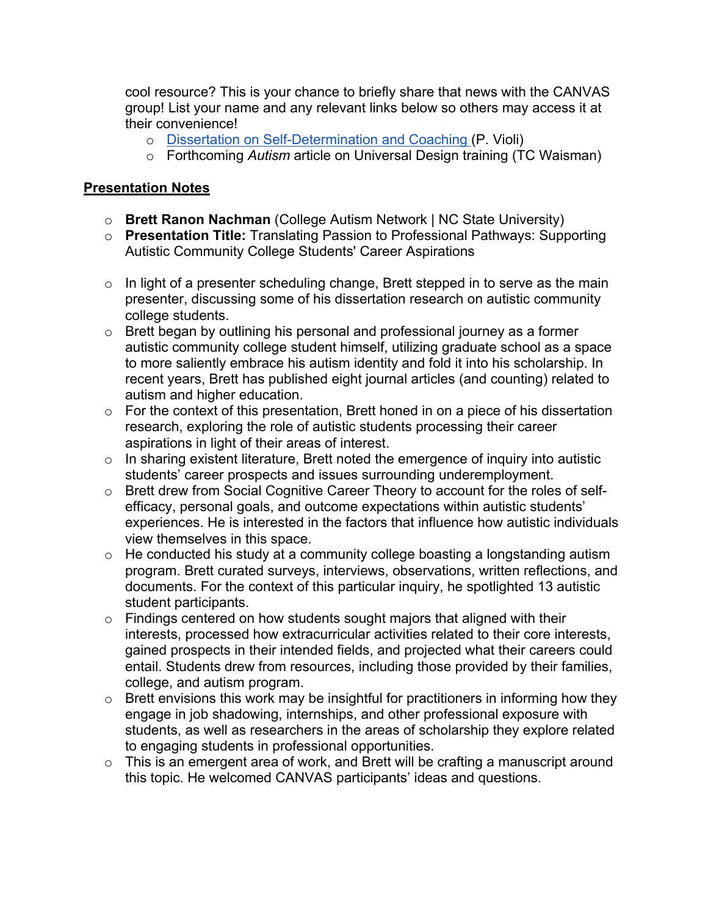cool resource? This is your chance to briefly share that news with the CANVAS group! List your name and any relevant links below so others may access it at their convenience!

- o Dissertation on Self-Determination and Coaching (P. Violi)
- o Forthcoming *Autism* article on Universal Design training (TC Waisman)

### **Presentation Notes**

- o **Brett Ranon Nachman** (College Autism Network | NC State University)
- o **Presentation Title:** Translating Passion to Professional Pathways: Supporting Autistic Community College Students' Career Aspirations
- $\circ$  In light of a presenter scheduling change, Brett stepped in to serve as the main presenter, discussing some of his dissertation research on autistic community college students.
- o Brett began by outlining his personal and professional journey as a former autistic community college student himself, utilizing graduate school as a space to more saliently embrace his autism identity and fold it into his scholarship. In recent years, Brett has published eight journal articles (and counting) related to autism and higher education.
- $\circ$  For the context of this presentation, Brett honed in on a piece of his dissertation research, exploring the role of autistic students processing their career aspirations in light of their areas of interest.
- $\circ$  In sharing existent literature, Brett noted the emergence of inquiry into autistic students' career prospects and issues surrounding underemployment.
- o Brett drew from Social Cognitive Career Theory to account for the roles of selfefficacy, personal goals, and outcome expectations within autistic students' experiences. He is interested in the factors that influence how autistic individuals view themselves in this space.
- $\circ$  He conducted his study at a community college boasting a longstanding autism program. Brett curated surveys, interviews, observations, written reflections, and documents. For the context of this particular inquiry, he spotlighted 13 autistic student participants.
- $\circ$  Findings centered on how students sought majors that aligned with their interests, processed how extracurricular activities related to their core interests, gained prospects in their intended fields, and projected what their careers could entail. Students drew from resources, including those provided by their families, college, and autism program.
- $\circ$  Brett envisions this work may be insightful for practitioners in informing how they engage in job shadowing, internships, and other professional exposure with students, as well as researchers in the areas of scholarship they explore related to engaging students in professional opportunities.
- $\circ$  This is an emergent area of work, and Brett will be crafting a manuscript around this topic. He welcomed CANVAS participants' ideas and questions.